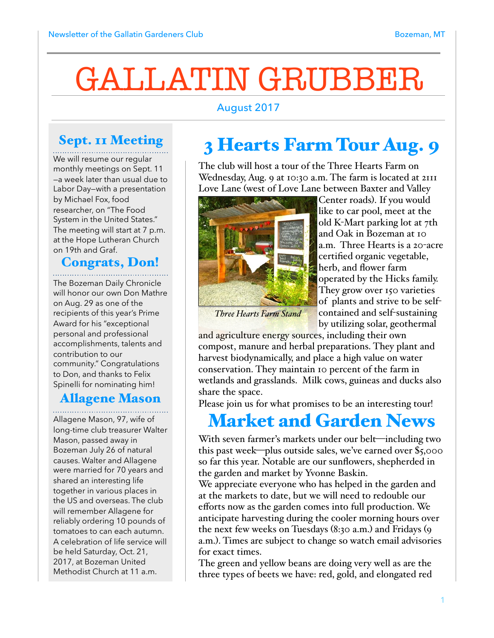# GALLATIN GRUBBER

#### August 2017

### Sept. 11 Meeting

We will resume our regular monthly meetings on Sept. 11 —a week later than usual due to Labor Day—with a presentation by Michael Fox, food researcher, on "The Food System in the United States." The meeting will start at 7 p.m. at the Hope Lutheran Church on 19th and Graf.

## Congrats, Don!

The Bozeman Daily Chronicle will honor our own Don Mathre on Aug. 29 as one of the recipients of this year's Prime Award for his "exceptional personal and professional accomplishments, talents and contribution to our community." Congratulations to Don, and thanks to Felix Spinelli for nominating him!

#### Allagene Mason

Allagene Mason, 97, wife of long-time club treasurer Walter Mason, passed away in Bozeman July 26 of natural causes. Walter and Allagene were married for 70 years and shared an interesting life together in various places in the US and overseas. The club will remember Allagene for reliably ordering 10 pounds of tomatoes to can each autumn. A celebration of life service will be held Saturday, Oct. 21, 2017, at Bozeman United Methodist Church at 11 a.m.

# 3 Hearts Farm Tour Aug. 9

The club will host a tour of the Three Hearts Farm on Wednesday, Aug. 9 at 10:30 a.m. The farm is located at 2111 Love Lane (west of Love Lane between Baxter and Valley



Center roads). If you would like to car pool, meet at the old K-Mart parking lot at 7th and Oak in Bozeman at 10 a.m. Three Hearts is a 20-acre certified organic vegetable, herb, and flower farm operated by the Hicks family. They grow over 150 varieties of plants and strive to be selfcontained and self-sustaining

*Three Hearts Farm Stand*

by utilizing solar, geothermal and agriculture energy sources, including their own

compost, manure and herbal preparations. They plant and harvest biodynamically, and place a high value on water conservation. They maintain 10 percent of the farm in wetlands and grasslands. Milk cows, guineas and ducks also share the space.

Please join us for what promises to be an interesting tour!

## Market and Garden News

With seven farmer's markets under our belt—including two this past week—plus outside sales, we've earned over \$5,000 so far this year. Notable are our sunflowers, shepherded in the garden and market by Yvonne Baskin.

We appreciate everyone who has helped in the garden and at the markets to date, but we will need to redouble our efforts now as the garden comes into full production. We anticipate harvesting during the cooler morning hours over the next few weeks on Tuesdays (8:30 a.m.) and Fridays (9 a.m.). Times are subject to change so watch email advisories for exact times.

The green and yellow beans are doing very well as are the three types of beets we have: red, gold, and elongated red